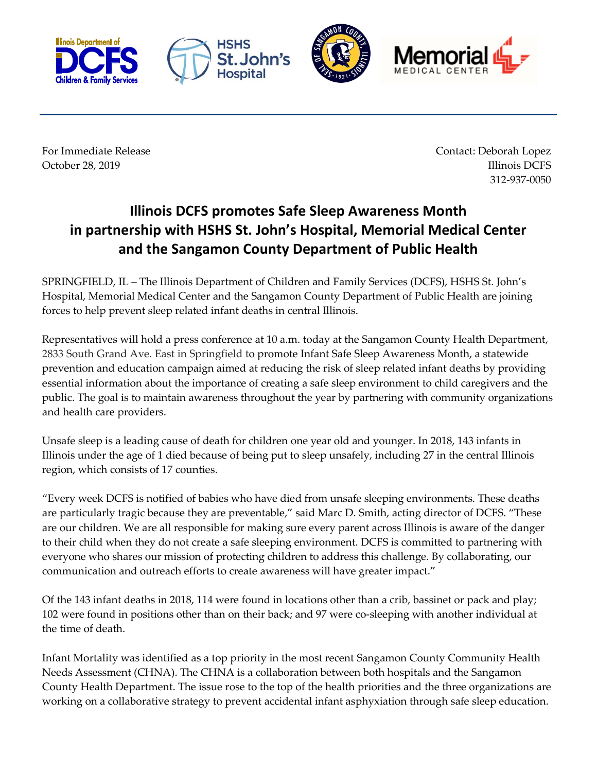







For Immediate Release **Contact: Deborah Lopez** October 28, 2019 **Illinois DCFS** 312-937-0050

## **Illinois DCFS promotes Safe Sleep Awareness Month in partnership with HSHS St. John's Hospital, Memorial Medical Center and the Sangamon County Department of Public Health**

SPRINGFIELD, IL – The Illinois Department of Children and Family Services (DCFS), HSHS St. John's Hospital, Memorial Medical Center and the Sangamon County Department of Public Health are joining forces to help prevent sleep related infant deaths in central Illinois.

Representatives will hold a press conference at 10 a.m. today at the Sangamon County Health Department, 2833 South Grand Ave. East in Springfield to promote Infant Safe Sleep Awareness Month, a statewide prevention and education campaign aimed at reducing the risk of sleep related infant deaths by providing essential information about the importance of creating a safe sleep environment to child caregivers and the public. The goal is to maintain awareness throughout the year by partnering with community organizations and health care providers.

Unsafe sleep is a leading cause of death for children one year old and younger. In 2018, 143 infants in Illinois under the age of 1 died because of being put to sleep unsafely, including 27 in the central Illinois region, which consists of 17 counties.

"Every week DCFS is notified of babies who have died from unsafe sleeping environments. These deaths are particularly tragic because they are preventable," said Marc D. Smith, acting director of DCFS. "These are our children. We are all responsible for making sure every parent across Illinois is aware of the danger to their child when they do not create a safe sleeping environment. DCFS is committed to partnering with everyone who shares our mission of protecting children to address this challenge. By collaborating, our communication and outreach efforts to create awareness will have greater impact."

Of the 143 infant deaths in 2018, 114 were found in locations other than a crib, bassinet or pack and play; 102 were found in positions other than on their back; and 97 were co-sleeping with another individual at the time of death.

Infant Mortality was identified as a top priority in the most recent Sangamon County Community Health Needs Assessment (CHNA). The CHNA is a collaboration between both hospitals and the Sangamon County Health Department. The issue rose to the top of the health priorities and the three organizations are working on a collaborative strategy to prevent accidental infant asphyxiation through safe sleep education.